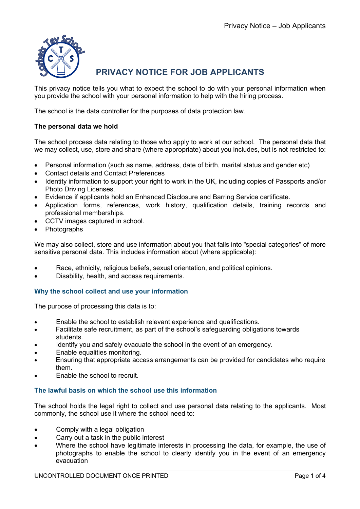

# **PRIVACY NOTICE FOR JOB APPLICANTS**

This privacy notice tells you what to expect the school to do with your personal information when you provide the school with your personal information to help with the hiring process.

The school is the data controller for the purposes of data protection law.

# **The personal data we hold**

The school process data relating to those who apply to work at our school. The personal data that we may collect, use, store and share (where appropriate) about you includes, but is not restricted to:

- Personal information (such as name, address, date of birth, marital status and gender etc)
- Contact details and Contact Preferences
- Identity information to support your right to work in the UK, including copies of Passports and/or Photo Driving Licenses.
- Evidence if applicants hold an Enhanced Disclosure and Barring Service certificate.
- Application forms, references, work history, qualification details, training records and professional memberships.
- CCTV images captured in school.
- Photographs

We may also collect, store and use information about you that falls into "special categories" of more sensitive personal data. This includes information about (where applicable):

- Race, ethnicity, religious beliefs, sexual orientation, and political opinions.
- Disability, health, and access requirements.

## **Why the school collect and use your information**

The purpose of processing this data is to:

- Enable the school to establish relevant experience and qualifications.
- Facilitate safe recruitment, as part of the school's safeguarding obligations towards students.
- Identify you and safely evacuate the school in the event of an emergency.
- Enable equalities monitoring.
- Ensuring that appropriate access arrangements can be provided for candidates who require them.
- Enable the school to recruit.

## **The lawful basis on which the school use this information**

The school holds the legal right to collect and use personal data relating to the applicants. Most commonly, the school use it where the school need to:

- Comply with a legal obligation
- Carry out a task in the public interest
- Where the school have legitimate interests in processing the data, for example, the use of photographs to enable the school to clearly identify you in the event of an emergency evacuation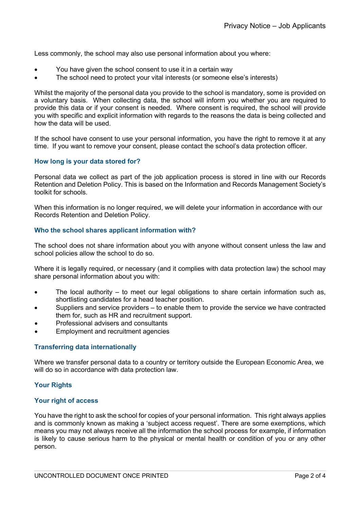Less commonly, the school may also use personal information about you where:

- You have given the school consent to use it in a certain way
- The school need to protect your vital interests (or someone else's interests)

Whilst the majority of the personal data you provide to the school is mandatory, some is provided on a voluntary basis. When collecting data, the school will inform you whether you are required to provide this data or if your consent is needed. Where consent is required, the school will provide you with specific and explicit information with regards to the reasons the data is being collected and how the data will be used.

If the school have consent to use your personal information, you have the right to remove it at any time. If you want to remove your consent, please contact the school's data protection officer.

#### **How long is your data stored for?**

Personal data we collect as part of the job application process is stored in line with our Records Retention and Deletion Policy. This is based on the Information and Records Management Society's toolkit for schools.

When this information is no longer required, we will delete your information in accordance with our Records Retention and Deletion Policy.

#### **Who the school shares applicant information with?**

The school does not share information about you with anyone without consent unless the law and school policies allow the school to do so.

Where it is legally required, or necessary (and it complies with data protection law) the school may share personal information about you with:

- The local authority to meet our legal obligations to share certain information such as, shortlisting candidates for a head teacher position.
- Suppliers and service providers to enable them to provide the service we have contracted them for, such as HR and recruitment support.
- Professional advisers and consultants
- Employment and recruitment agencies

## **Transferring data internationally**

Where we transfer personal data to a country or territory outside the European Economic Area, we will do so in accordance with data protection law.

## **Your Rights**

#### **Your right of access**

You have the right to ask the school for copies of your personal information. This right always applies and is commonly known as making a 'subject access request'. There are some exemptions, which means you may not always receive all the information the school process for example, if information is likely to cause serious harm to the physical or mental health or condition of you or any other person.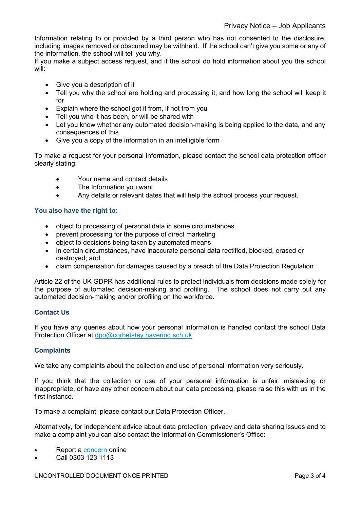Information relating to or provided by a third person who has not consented to the disclosure, including images removed or obscured may be withheld. If the school can't give you some or any of the information, the school will tell you why.

If you make a subject access request, and if the school do hold information about you the school will:

- Give you a description of it
- Tell you why the school are holding and processing it, and how long the school will keep it for
- Explain where the school got it from, if not from you
- Tell you who it has been, or will be shared with
- Let you know whether any automated decision-making is being applied to the data, and any consequences of this
- Give you a copy of the information in an intelligible form

To make a request for your personal information, please contact the school data protection officer clearly stating:

- Your name and contact details
- The Information you want
- Any details or relevant dates that will help the school process your request.

## **You also have the right to:**

- object to processing of personal data in some circumstances.
- prevent processing for the purpose of direct marketing
- object to decisions being taken by automated means
- in certain circumstances, have inaccurate personal data rectified, blocked, erased or destroyed; and
- claim compensation for damages caused by a breach of the Data Protection Regulation

Article 22 of the UK GDPR has additional rules to protect individuals from decisions made solely for the purpose of automated decision-making and profiling. The school does not carry out any automated decision-making and/or profiling on the workforce.

## **Contact Us**

If you have any queries about how your personal information is handled contact the school Data Protection Officer at dpo@corbetstey.havering.sch.uk

## **Complaints**

We take any complaints about the collection and use of personal information very seriously.

If you think that the collection or use of your personal information is unfair, misleading or inappropriate, or have any other concern about our data processing, please raise this with us in the first instance.

To make a complaint, please contact our Data Protection Officer.

Alternatively, for independent advice about data protection, privacy and data sharing issues and to make a complaint you can also contact the Information Commissioner's Office:

- Report a concern online
- Call 0303 123 1113